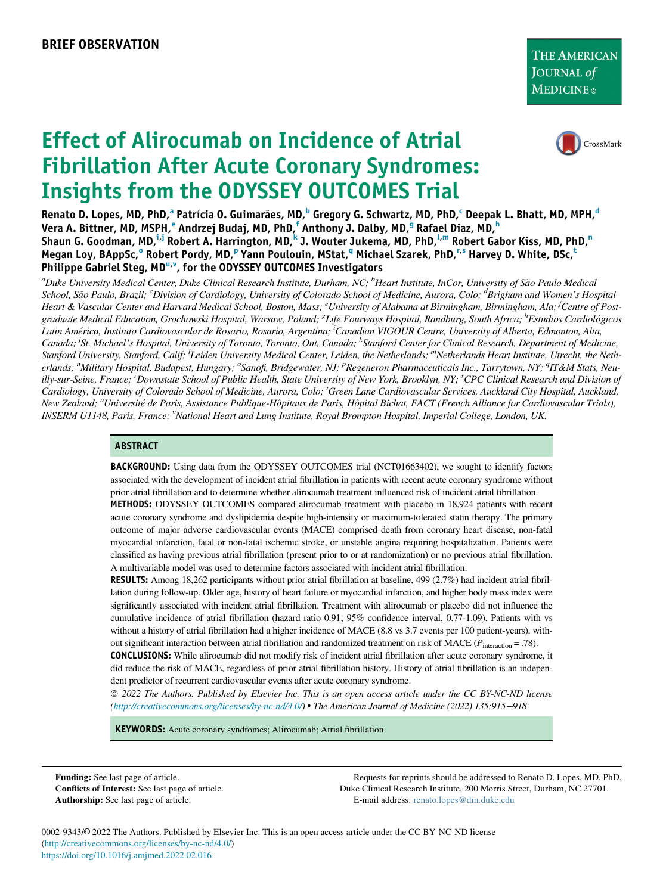

# Effect of Alirocumab on Incidence of Atrial Fibrillation After Acute Coronary Syndromes: Insights from the ODYSSEY OUTCOMES Trial

Ren[a](#page-0-0)to D. Lopes, MD, PhD,<sup>a</sup> Patrícia O. Guimarães, MD,<sup>[b](#page-0-0)</sup> Gregory G. S[c](#page-0-1)hwartz, MD, PhD,<sup>c</sup> Deepak L. Bhatt, MD, MPH,<sup>[d](#page-0-1)</sup> V[e](#page-0-2)ra A. Bittner, MD, MSPH, <sup>e</sup> Andrzej Budaj, MD, PhD, [f](#page-0-2) Anthony J. Dalby, MD, <sup>[g](#page-0-3)</sup> Rafael Diaz, MD, [h](#page-0-3) Shaun G. Goodman, MD,<sup>[i,](#page-0-4)[j](#page-0-5)</sup> Robert A. Harrington, MD,<sup>[k](#page-0-5)</sup> J. Wouter Jukema, MD, PhD,<sup>[l,m](#page-0-6)</sup> Robert Gabor Kiss, MD, PhD,<sup>[n](#page-0-7)</sup> Megan L[o](#page-0-7)y, BA[p](#page-0-7)pSc,<sup>o</sup> Robert Pordy, MD,<sup>p</sup> Yann Poulouin, MStat,<sup>[q](#page-0-7)</sup> Michael Szarek, PhD,<sup>[r,s](#page-0-8)</sup> Harvey D. Whi[t](#page-0-9)e, DSc,<sup>t</sup> Philippe Gabriel Steg, MD<sup>u[,v](#page-0-11)</sup>, for the ODYSSEY OUTCOMES Investigators

<span id="page-0-9"></span><span id="page-0-8"></span><span id="page-0-7"></span><span id="page-0-6"></span><span id="page-0-5"></span><span id="page-0-4"></span><span id="page-0-3"></span><span id="page-0-2"></span><span id="page-0-1"></span><span id="page-0-0"></span><sup>a</sup>Duke University Medical Center, Duke Clinical Research Institute, Durham, NC; <sup>b</sup>Heart Institute, InCor, University of São Paulo Medical School, São Paulo, Brazil; <sup>c</sup>Division of Cardiology, University of Colorado School of Medicine, Aurora, Colo; <sup>d</sup>Brigham and Women's Hospital Heart & Vascular Center and Harvard Medical School, Boston, Mass; <sup>e</sup>University of Alabama at Birmingham, Birmingham, Ala; <sup>f</sup>Centre of Postgraduate Medical Education, Grochowski Hospital, Warsaw, Poland; <sup>8</sup>Life Fourways Hospital, Randburg, South Africa; <sup>h</sup>Estudios Cardiológicos Latin America, Instituto Cardiovascular de Rosario, Rosario, Argentina; <sup>i</sup> Canadian VIGOUR Centre, University of Alberta, Edmonton, Alta, Canada; <sup>j</sup>St. Michael's Hospital, University of Toronto, Toronto, Ont, Canada; <sup>k</sup>Stanford Center for Clinical Research, Department of Medicine, Stanford University, Stanford, Calif; <sup>1</sup>Leiden University Medical Center, Leiden, the Netherlands; <sup>m</sup>Netherlands Heart Institute, Utrecht, the Netherlands; "Military Hospital, Budapest, Hungary; <sup>o</sup>Sanofi, Bridgewater, NJ; <sup>p</sup>Regeneron Pharmaceuticals Inc., Tarrytown, NY; <sup>a</sup>IT&M Stats, Neuilly-sur-Seine, France; <sup>r</sup>Downstate School of Public Health, State University of New York, Brooklyn, NY; <sup>s</sup>CPC Clinical Research and Division of Cardiology, University of Colorado School of Medicine, Aurora, Colo; <sup>t</sup>Green Lane Cardiovascular Services, Auckland City Hospital, Auckland, New Zealand; "Université de Paris, Assistance Publique-Hôpitaux de Paris, Hôpital Bichat, FACT (French Alliance for Cardiovascular Trials), INSERM U1148, Paris, France; <sup>v</sup>National Heart and Lung Institute, Royal Brompton Hospital, Imperial College, London, UK.

#### <span id="page-0-11"></span><span id="page-0-10"></span>ABSTRACT

BACKGROUND: Using data from the ODYSSEY OUTCOMES trial (NCT01663402), we sought to identify factors associated with the development of incident atrial fibrillation in patients with recent acute coronary syndrome without prior atrial fibrillation and to determine whether alirocumab treatment influenced risk of incident atrial fibrillation.

METHODS: ODYSSEY OUTCOMES compared alirocumab treatment with placebo in 18,924 patients with recent acute coronary syndrome and dyslipidemia despite high-intensity or maximum-tolerated statin therapy. The primary outcome of major adverse cardiovascular events (MACE) comprised death from coronary heart disease, non-fatal myocardial infarction, fatal or non-fatal ischemic stroke, or unstable angina requiring hospitalization. Patients were classified as having previous atrial fibrillation (present prior to or at randomization) or no previous atrial fibrillation. A multivariable model was used to determine factors associated with incident atrial fibrillation.

RESULTS: Among 18,262 participants without prior atrial fibrillation at baseline, 499 (2.7%) had incident atrial fibrillation during follow-up. Older age, history of heart failure or myocardial infarction, and higher body mass index were significantly associated with incident atrial fibrillation. Treatment with alirocumab or placebo did not influence the cumulative incidence of atrial fibrillation (hazard ratio 0.91; 95% confidence interval, 0.77-1.09). Patients with vs without a history of atrial fibrillation had a higher incidence of MACE (8.8 vs 3.7 events per 100 patient-years), without significant interaction between atrial fibrillation and randomized treatment on risk of MACE ( $P_{interaction} = .78$ ).

CONCLUSIONS: While alirocumab did not modify risk of incident atrial fibrillation after acute coronary syndrome, it did reduce the risk of MACE, regardless of prior atrial fibrillation history. History of atrial fibrillation is an independent predictor of recurrent cardiovascular events after acute coronary syndrome.

 2022 The Authors. Published by Elsevier Inc. This is an open access article under the CC BY-NC-ND license [\(http://creativecommons.org/licenses/by-nc-nd/4.0/](http://creativecommons.org/licenses/by-nc-nd/4.0/)) The American Journal of Medicine (2022) 135:915−918

KEYWORDS: Acute coronary syndromes; Alirocumab; Atrial fibrillation

Funding: See last page of article. Conflicts of Interest: See last page of article. Authorship: See last page of article.

Requests for reprints should be addressed to Renato D. Lopes, MD, PhD, Duke Clinical Research Institute, 200 Morris Street, Durham, NC 27701. E-mail address: [renato.lopes@dm.duke.edu](mailto:renato.lopes@dm.duke.edu)

0002-9343/© 2022 The Authors. Published by Elsevier Inc. This is an open access article under the CC BY-NC-ND license [\(http://creativecommons.org/licenses/by-nc-nd/4.0/\)](http://creativecommons.org/licenses/by-nc-nd/4.0/) <https://doi.org/10.1016/j.amjmed.2022.02.016>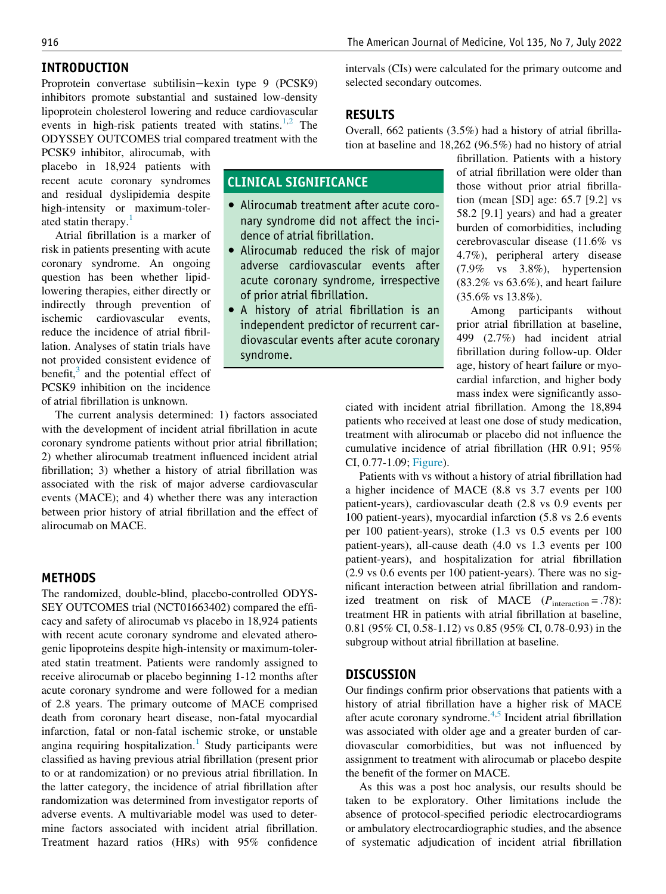## INTRODUCTION

Proprotein convertase subtilisin−kexin type 9 (PCSK9) inhibitors promote substantial and sustained low-density lipoprotein cholesterol lowering and reduce cardiovascular events in high-risk patients treated with statins.<sup>[1,](#page-2-0)[2](#page-2-1)</sup> The ODYSSEY OUTCOMES trial compared treatment with the

PCSK9 inhibitor, alirocumab, with placebo in 18,924 patients with recent acute coronary syndromes and residual dyslipidemia despite high-intensity or maximum-toler-ated statin therapy.<sup>[1](#page-2-0)</sup>

Atrial fibrillation is a marker of risk in patients presenting with acute coronary syndrome. An ongoing question has been whether lipidlowering therapies, either directly or indirectly through prevention of ischemic cardiovascular events, reduce the incidence of atrial fibrillation. Analyses of statin trials have not provided consistent evidence of benefit, $3$  and the potential effect of PCSK9 inhibition on the incidence of atrial fibrillation is unknown.

The current analysis determined: 1) factors associated with the development of incident atrial fibrillation in acute coronary syndrome patients without prior atrial fibrillation; 2) whether alirocumab treatment influenced incident atrial fibrillation; 3) whether a history of atrial fibrillation was associated with the risk of major adverse cardiovascular events (MACE); and 4) whether there was any interaction between prior history of atrial fibrillation and the effect of alirocumab on MACE.

## METHODS

The randomized, double-blind, placebo-controlled ODYS-SEY OUTCOMES trial (NCT01663402) compared the efficacy and safety of alirocumab vs placebo in 18,924 patients with recent acute coronary syndrome and elevated atherogenic lipoproteins despite high-intensity or maximum-tolerated statin treatment. Patients were randomly assigned to receive alirocumab or placebo beginning 1-12 months after acute coronary syndrome and were followed for a median of 2.8 years. The primary outcome of MACE comprised death from coronary heart disease, non-fatal myocardial infarction, fatal or non-fatal ischemic stroke, or unstable angina requiring hospitalization.<sup>[1](#page-2-0)</sup> Study participants were classified as having previous atrial fibrillation (present prior to or at randomization) or no previous atrial fibrillation. In the latter category, the incidence of atrial fibrillation after randomization was determined from investigator reports of adverse events. A multivariable model was used to determine factors associated with incident atrial fibrillation. Treatment hazard ratios (HRs) with 95% confidence intervals (CIs) were calculated for the primary outcome and selected secondary outcomes.

## RESULTS

CLINICAL SIGNIFICANCE

dence of atrial fibrillation.

of prior atrial fibrillation.

syndrome.

 Alirocumab treatment after acute coronary syndrome did not affect the inci-

 Alirocumab reduced the risk of major adverse cardiovascular events after acute coronary syndrome, irrespective

 A history of atrial fibrillation is an independent predictor of recurrent cardiovascular events after acute coronary

Overall, 662 patients (3.5%) had a history of atrial fibrillation at baseline and 18,262 (96.5%) had no history of atrial

> fibrillation. Patients with a history of atrial fibrillation were older than those without prior atrial fibrillation (mean [SD] age: 65.7 [9.2] vs 58.2 [9.1] years) and had a greater burden of comorbidities, including cerebrovascular disease (11.6% vs 4.7%), peripheral artery disease (7.9% vs 3.8%), hypertension  $(83.2\% \text{ vs } 63.6\%)$ , and heart failure (35.6% vs 13.8%).

> Among participants without prior atrial fibrillation at baseline, 499 (2.7%) had incident atrial fibrillation during follow-up. Older age, history of heart failure or myocardial infarction, and higher body mass index were significantly asso-

ciated with incident atrial fibrillation. Among the 18,894 patients who received at least one dose of study medication, treatment with alirocumab or placebo did not influence the cumulative incidence of atrial fibrillation (HR 0.91; 95% CI, 0.77-1.09; [Figure](#page-2-3)).

Patients with vs without a history of atrial fibrillation had a higher incidence of MACE (8.8 vs 3.7 events per 100 patient-years), cardiovascular death (2.8 vs 0.9 events per 100 patient-years), myocardial infarction (5.8 vs 2.6 events per 100 patient-years), stroke (1.3 vs 0.5 events per 100 patient-years), all-cause death (4.0 vs 1.3 events per 100 patient-years), and hospitalization for atrial fibrillation (2.9 vs 0.6 events per 100 patient-years). There was no significant interaction between atrial fibrillation and randomized treatment on risk of MACE  $(P_{\text{interaction}} = .78)$ : treatment HR in patients with atrial fibrillation at baseline, 0.81 (95% CI, 0.58-1.12) vs 0.85 (95% CI, 0.78-0.93) in the subgroup without atrial fibrillation at baseline.

## **DISCUSSION**

Our findings confirm prior observations that patients with a history of atrial fibrillation have a higher risk of MACE after acute coronary syndrome. $4,5$  $4,5$  $4,5$  Incident atrial fibrillation was associated with older age and a greater burden of cardiovascular comorbidities, but was not influenced by assignment to treatment with alirocumab or placebo despite the benefit of the former on MACE.

As this was a post hoc analysis, our results should be taken to be exploratory. Other limitations include the absence of protocol-specified periodic electrocardiograms or ambulatory electrocardiographic studies, and the absence of systematic adjudication of incident atrial fibrillation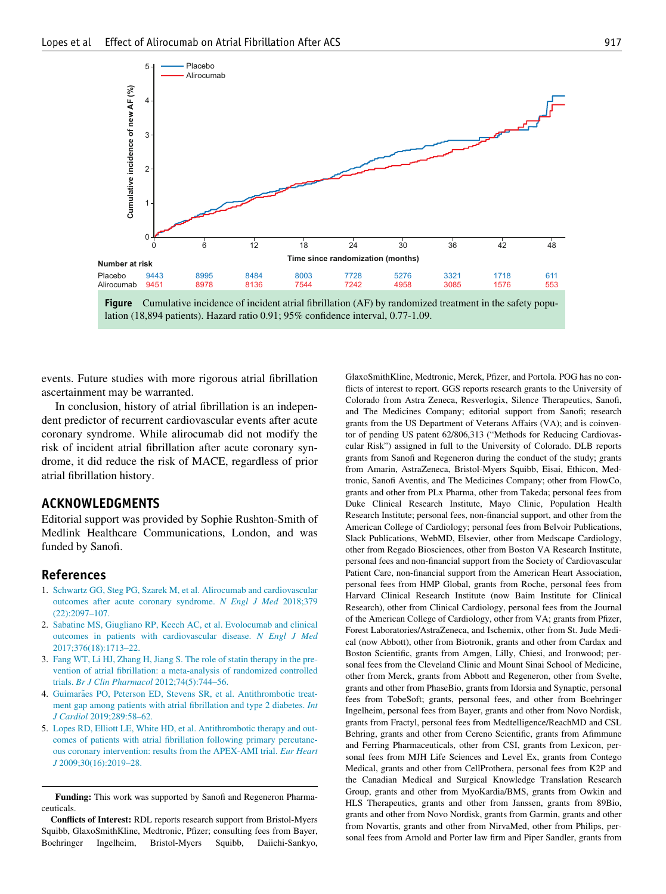<span id="page-2-3"></span>

Figure Cumulative incidence of incident atrial fibrillation (AF) by randomized treatment in the safety population (18,894 patients). Hazard ratio 0.91; 95% confidence interval, 0.77-1.09.

events. Future studies with more rigorous atrial fibrillation ascertainment may be warranted.

In conclusion, history of atrial fibrillation is an independent predictor of recurrent cardiovascular events after acute coronary syndrome. While alirocumab did not modify the risk of incident atrial fibrillation after acute coronary syndrome, it did reduce the risk of MACE, regardless of prior atrial fibrillation history.

## ACKNOWLEDGMENTS

Editorial support was provided by Sophie Rushton-Smith of Medlink Healthcare Communications, London, and was funded by Sanofi.

## References

- <span id="page-2-0"></span>1. [Schwartz GG, Steg PG, Szarek M, et al. Alirocumab and cardiovascular](http://refhub.elsevier.com/S0002-9343(22)00173-5/sbref0001) [outcomes after acute coronary syndrome.](http://refhub.elsevier.com/S0002-9343(22)00173-5/sbref0001) N Engl J Med 2018;379 [\(22\):2097–107.](http://refhub.elsevier.com/S0002-9343(22)00173-5/sbref0001)
- <span id="page-2-1"></span>2. [Sabatine MS, Giugliano RP, Keech AC, et al. Evolocumab and clinical](http://refhub.elsevier.com/S0002-9343(22)00173-5/sbref0002) [outcomes in patients with cardiovascular disease.](http://refhub.elsevier.com/S0002-9343(22)00173-5/sbref0002) N Engl J Med [2017;376\(18\):1713–22.](http://refhub.elsevier.com/S0002-9343(22)00173-5/sbref0002)
- <span id="page-2-2"></span>3. [Fang WT, Li HJ, Zhang H, Jiang S. The role of statin therapy in the pre](http://refhub.elsevier.com/S0002-9343(22)00173-5/sbref0003)[vention of atrial fibrillation: a meta-analysis of randomized controlled](http://refhub.elsevier.com/S0002-9343(22)00173-5/sbref0003) trials. [Br J Clin Pharmacol](http://refhub.elsevier.com/S0002-9343(22)00173-5/sbref0003) 2012;74(5):744–56.
- <span id="page-2-4"></span>4. [Guimar](http://refhub.elsevier.com/S0002-9343(22)00173-5/sbref0004)ã[es PO, Peterson ED, Stevens SR, et al. Antithrombotic treat](http://refhub.elsevier.com/S0002-9343(22)00173-5/sbref0004)[ment gap among patients with atrial fibrillation and type 2 diabetes.](http://refhub.elsevier.com/S0002-9343(22)00173-5/sbref0004) Int J Cardiol [2019;289:58–62.](http://refhub.elsevier.com/S0002-9343(22)00173-5/sbref0004)
- <span id="page-2-5"></span>5. [Lopes RD, Elliott LE, White HD, et al. Antithrombotic therapy and out](http://refhub.elsevier.com/S0002-9343(22)00173-5/sbref0005)[comes of patients with atrial fibrillation following primary percutane](http://refhub.elsevier.com/S0002-9343(22)00173-5/sbref0005)[ous coronary intervention: results from the APEX-AMI trial.](http://refhub.elsevier.com/S0002-9343(22)00173-5/sbref0005) Eur Heart J [2009;30\(16\):2019–28.](http://refhub.elsevier.com/S0002-9343(22)00173-5/sbref0005)

Funding: This work was supported by Sanofi and Regeneron Pharmaceuticals.

Conflicts of Interest: RDL reports research support from Bristol-Myers Squibb, GlaxoSmithKline, Medtronic, Pfizer; consulting fees from Bayer, Boehringer Ingelheim, Bristol-Myers Squibb, Daiichi-Sankyo,

GlaxoSmithKline, Medtronic, Merck, Pfizer, and Portola. POG has no conflicts of interest to report. GGS reports research grants to the University of Colorado from Astra Zeneca, Resverlogix, Silence Therapeutics, Sanofi, and The Medicines Company; editorial support from Sanofi; research grants from the US Department of Veterans Affairs (VA); and is coinventor of pending US patent 62/806,313 ("Methods for Reducing Cardiovascular Risk") assigned in full to the University of Colorado. DLB reports grants from Sanofi and Regeneron during the conduct of the study; grants from Amarin, AstraZeneca, Bristol-Myers Squibb, Eisai, Ethicon, Medtronic, Sanofi Aventis, and The Medicines Company; other from FlowCo, grants and other from PLx Pharma, other from Takeda; personal fees from Duke Clinical Research Institute, Mayo Clinic, Population Health Research Institute; personal fees, non-financial support, and other from the American College of Cardiology; personal fees from Belvoir Publications, Slack Publications, WebMD, Elsevier, other from Medscape Cardiology, other from Regado Biosciences, other from Boston VA Research Institute, personal fees and non-financial support from the Society of Cardiovascular Patient Care, non-financial support from the American Heart Association, personal fees from HMP Global, grants from Roche, personal fees from Harvard Clinical Research Institute (now Baim Institute for Clinical Research), other from Clinical Cardiology, personal fees from the Journal of the American College of Cardiology, other from VA; grants from Pfizer, Forest Laboratories/AstraZeneca, and Ischemix, other from St. Jude Medical (now Abbott), other from Biotronik, grants and other from Cardax and Boston Scientific, grants from Amgen, Lilly, Chiesi, and Ironwood; personal fees from the Cleveland Clinic and Mount Sinai School of Medicine, other from Merck, grants from Abbott and Regeneron, other from Svelte, grants and other from PhaseBio, grants from Idorsia and Synaptic, personal fees from TobeSoft; grants, personal fees, and other from Boehringer Ingelheim, personal fees from Bayer, grants and other from Novo Nordisk, grants from Fractyl, personal fees from Medtelligence/ReachMD and CSL Behring, grants and other from Cereno Scientific, grants from Afimmune and Ferring Pharmaceuticals, other from CSI, grants from Lexicon, personal fees from MJH Life Sciences and Level Ex, grants from Contego Medical, grants and other from CellProthera, personal fees from K2P and the Canadian Medical and Surgical Knowledge Translation Research Group, grants and other from MyoKardia/BMS, grants from Owkin and HLS Therapeutics, grants and other from Janssen, grants from 89Bio, grants and other from Novo Nordisk, grants from Garmin, grants and other from Novartis, grants and other from NirvaMed, other from Philips, personal fees from Arnold and Porter law firm and Piper Sandler, grants from